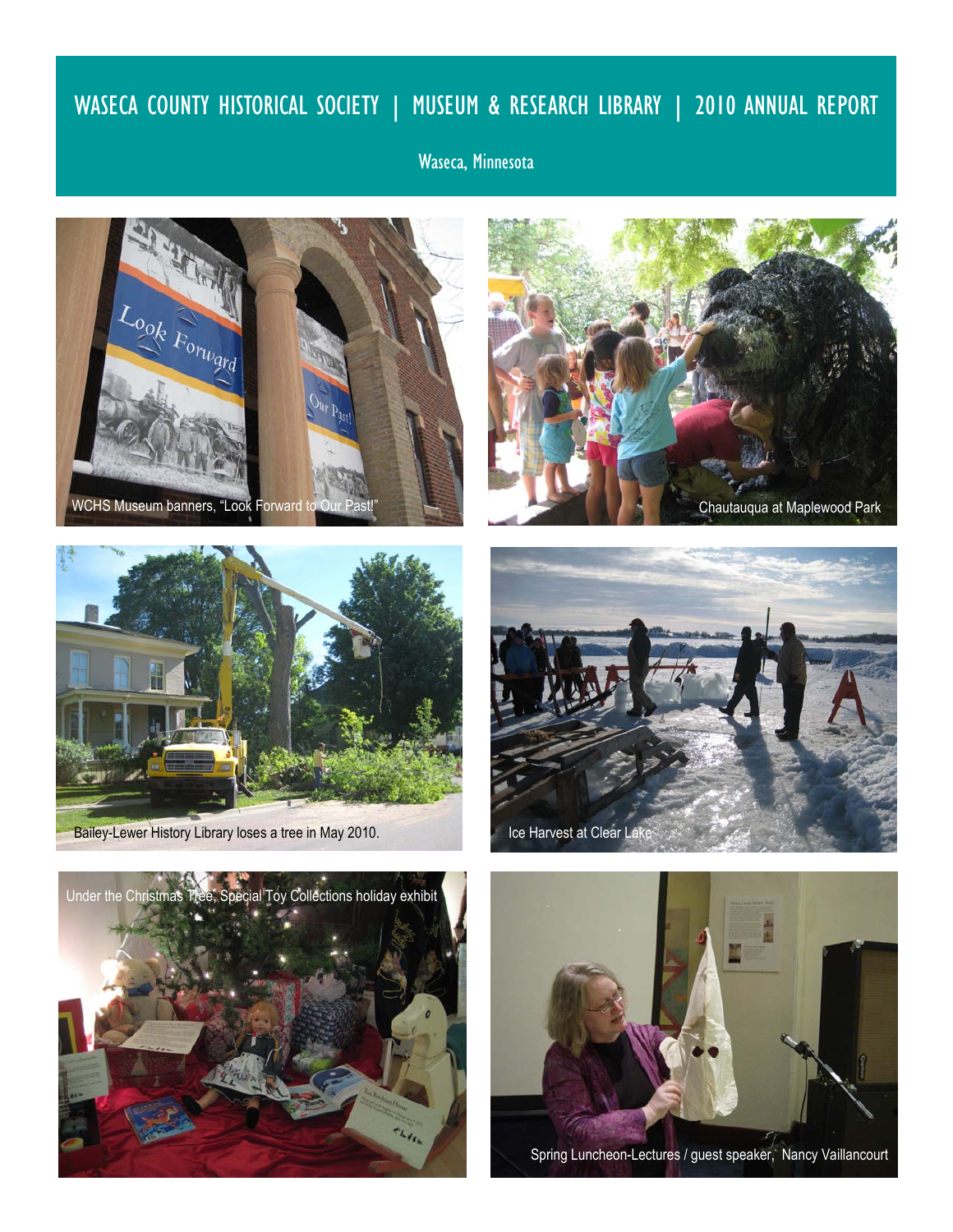# WASECA COUNTY HISTORICAL SOCIETY | MUSEUM & RESEARCH LIBRARY | 2010 ANNUAL REPORT

## Waseca, Minnesota







Bailey-Lewer History Library loses a tree in May 2010.







Spring Luncheon-Lectures / guest speaker, Nancy Vaillancourt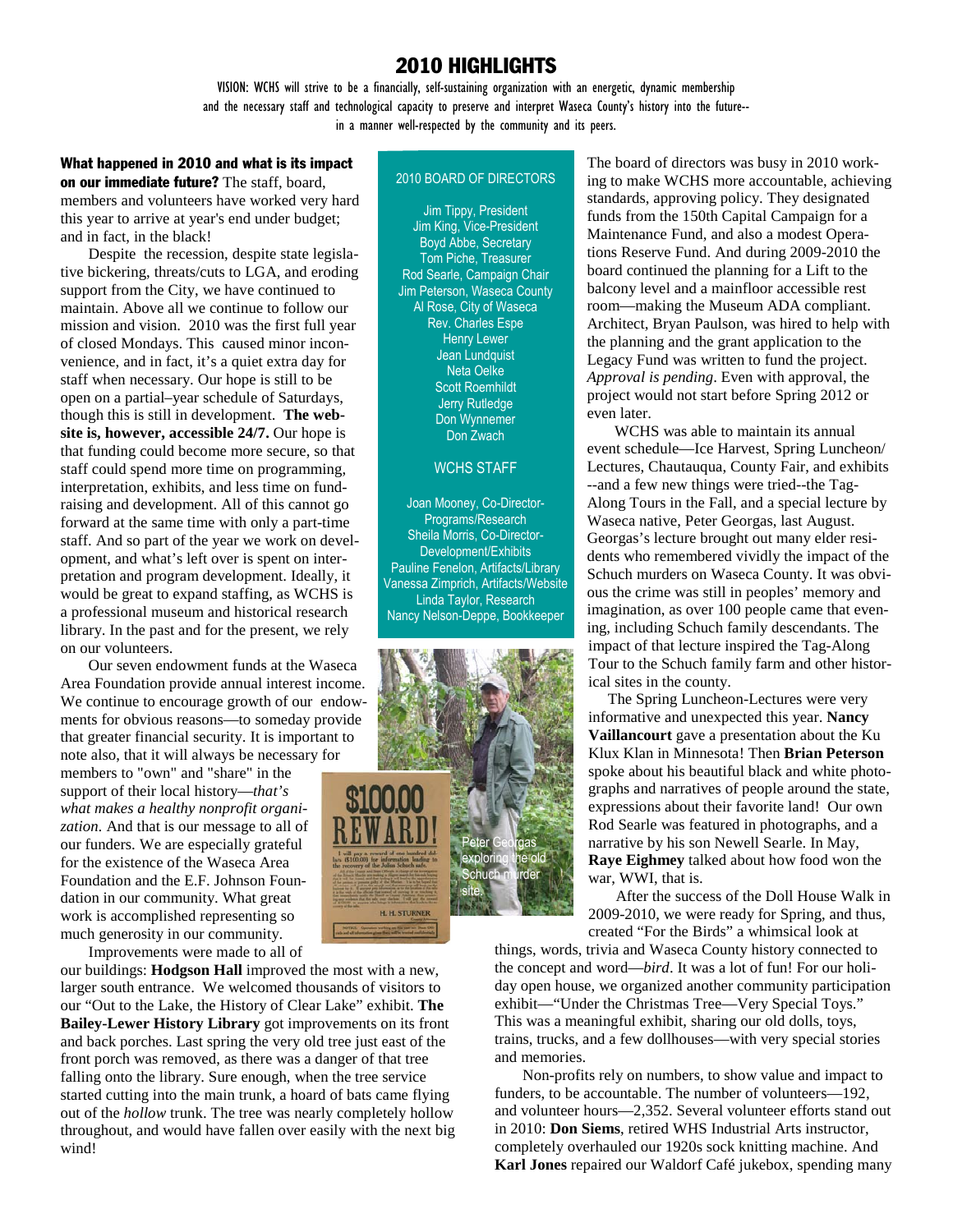### 2010 HIGHLIGHTS

VISION: WCHS will strive to be a financially, self-sustaining organization with an energetic, dynamic membership and the necessary staff and technological capacity to preserve and interpret Waseca County's history into the future- in a manner well-respected by the community and its peers.

### What happened in 2010 and what is its impact

on our immediate future? The staff, board, members and volunteers have worked very hard this year to arrive at year's end under budget; and in fact, in the black!

Despite the recession, despite state legislative bickering, threats/cuts to LGA, and eroding support from the City, we have continued to maintain. Above all we continue to follow our mission and vision. 2010 was the first full year of closed Mondays. This caused minor inconvenience, and in fact, it's a quiet extra day for staff when necessary. Our hope is still to be open on a partial–year schedule of Saturdays, though this is still in development. **The website is, however, accessible 24/7.** Our hope is that funding could become more secure, so that staff could spend more time on programming, interpretation, exhibits, and less time on fundraising and development. All of this cannot go forward at the same time with only a part-time staff. And so part of the year we work on development, and what's left over is spent on interpretation and program development. Ideally, it would be great to expand staffing, as WCHS is a professional museum and historical research library. In the past and for the present, we rely on our volunteers.

Our seven endowment funds at the Waseca Area Foundation provide annual interest income. We continue to encourage growth of our endowments for obvious reasons—to someday provide that greater financial security. It is important to note also, that it will always be necessary for members to "own" and "share" in the support of their local history—*that's what makes a healthy nonprofit organization.* And that is our message to all of our funders. We are especially grateful for the existence of the Waseca Area Foundation and the E.F. Johnson Foundation in our community. What great work is accomplished representing so much generosity in our community.

Improvements were made to all of

our buildings: **Hodgson Hall** improved the most with a new, larger south entrance. We welcomed thousands of visitors to our "Out to the Lake, the History of Clear Lake" exhibit. **The Bailey-Lewer History Library** got improvements on its front and back porches. Last spring the very old tree just east of the front porch was removed, as there was a danger of that tree falling onto the library. Sure enough, when the tree service started cutting into the main trunk, a hoard of bats came flying out of the *hollow* trunk. The tree was nearly completely hollow throughout, and would have fallen over easily with the next big wind!

### 2010 BOARD OF DIRECTORS

Jim Tippy, President Jim King, Vice-President Boyd Abbe, Secretary Tom Piche, Treasurer Rod Searle, Campaign Chair Jim Peterson, Waseca County Al Rose, City of Waseca Rev. Charles Espe Henry Lewer Jean Lundquist Neta Oelke Scott Roemhildt Jerry Rutledge Don Wynnemer Don Zwach

### WCHS STAFF

Joan Mooney, Co-Director-Programs/Research Sheila Morris, Co-Director-Development/Exhibits Pauline Fenelon, Artifacts/Library Vanessa Zimprich, Artifacts/Website Linda Taylor, Research Nancy Nelson-Deppe, Bookkeeper



The board of directors was busy in 2010 working to make WCHS more accountable, achieving standards, approving policy. They designated funds from the 150th Capital Campaign for a Maintenance Fund, and also a modest Operations Reserve Fund. And during 2009-2010 the board continued the planning for a Lift to the balcony level and a mainfloor accessible rest room—making the Museum ADA compliant. Architect, Bryan Paulson, was hired to help with the planning and the grant application to the Legacy Fund was written to fund the project. *Approval is pending*. Even with approval, the project would not start before Spring 2012 or even later.

 WCHS was able to maintain its annual event schedule—Ice Harvest, Spring Luncheon/ Lectures, Chautauqua, County Fair, and exhibits --and a few new things were tried--the Tag-Along Tours in the Fall, and a special lecture by Waseca native, Peter Georgas, last August. Georgas's lecture brought out many elder residents who remembered vividly the impact of the Schuch murders on Waseca County. It was obvious the crime was still in peoples' memory and imagination, as over 100 people came that evening, including Schuch family descendants. The impact of that lecture inspired the Tag-Along Tour to the Schuch family farm and other historical sites in the county.

 The Spring Luncheon-Lectures were very informative and unexpected this year. **Nancy Vaillancourt** gave a presentation about the Ku Klux Klan in Minnesota! Then **Brian Peterson**  spoke about his beautiful black and white photographs and narratives of people around the state, expressions about their favorite land! Our own Rod Searle was featured in photographs, and a narrative by his son Newell Searle. In May, **Raye Eighmey** talked about how food won the war, WWI, that is.

 After the success of the Doll House Walk in 2009-2010, we were ready for Spring, and thus, created "For the Birds" a whimsical look at

things, words, trivia and Waseca County history connected to the concept and word—*bird*. It was a lot of fun! For our holiday open house, we organized another community participation exhibit—"Under the Christmas Tree—Very Special Toys." This was a meaningful exhibit, sharing our old dolls, toys, trains, trucks, and a few dollhouses—with very special stories and memories.

Non-profits rely on numbers, to show value and impact to funders, to be accountable. The number of volunteers—192, and volunteer hours—2,352. Several volunteer efforts stand out in 2010: **Don Siems**, retired WHS Industrial Arts instructor, completely overhauled our 1920s sock knitting machine. And **Karl Jones** repaired our Waldorf Café jukebox, spending many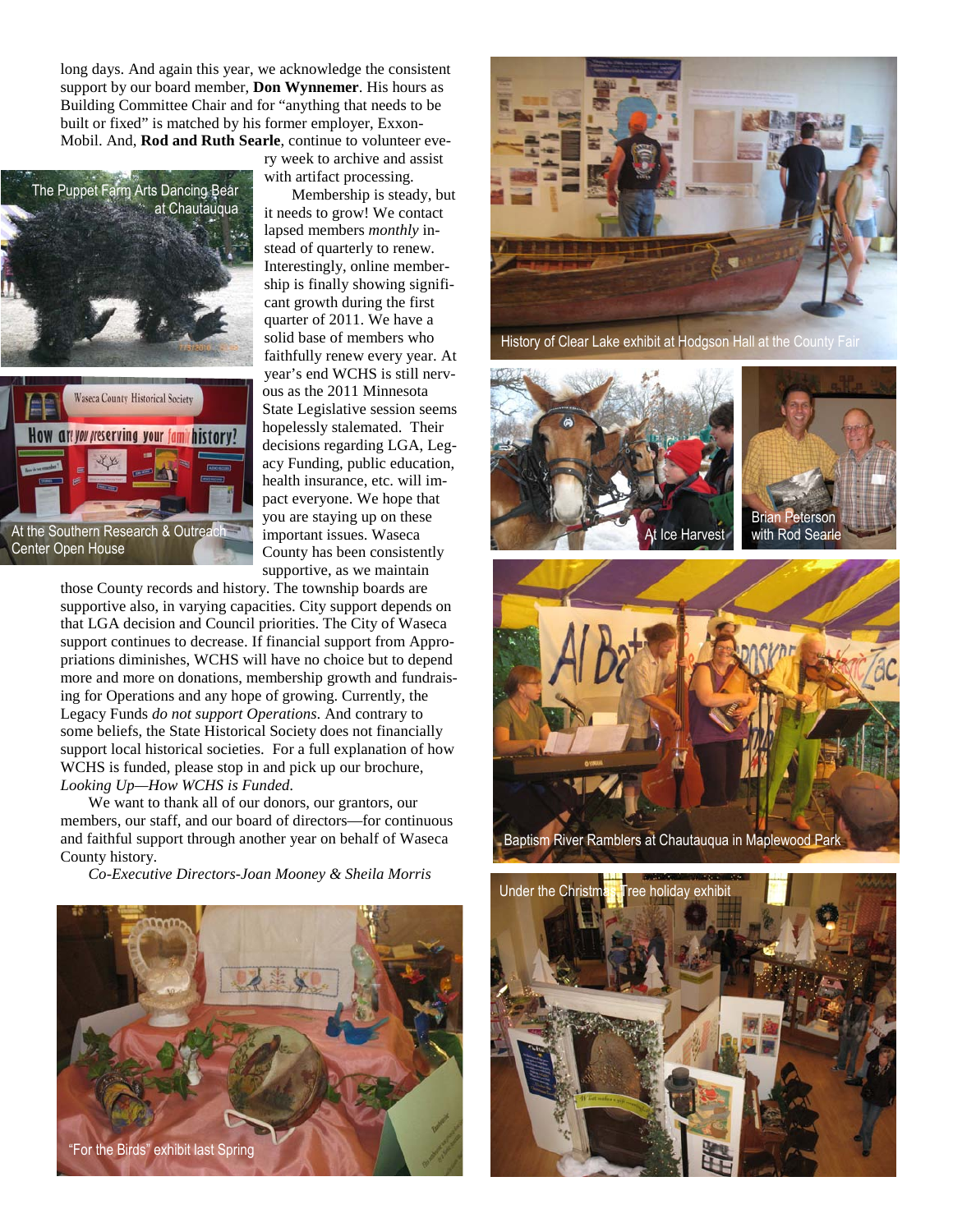long days. And again this year, we acknowledge the consistent support by our board member, **Don Wynnemer**. His hours as Building Committee Chair and for "anything that needs to be built or fixed" is matched by his former employer, Exxon-Mobil. And, **Rod and Ruth Searle**, continue to volunteer eve-



ry week to archive and assist with artifact processing.

 Membership is steady, but it needs to grow! We contact lapsed members *monthly* instead of quarterly to renew. Interestingly, online membership is finally showing significant growth during the first quarter of 2011. We have a solid base of members who faithfully renew every year. At year's end WCHS is still nervous as the 2011 Minnesota State Legislative session seems hopelessly stalemated. Their decisions regarding LGA, Legacy Funding, public education, health insurance, etc. will impact everyone. We hope that you are staying up on these important issues. Waseca County has been consistently supportive, as we maintain

those County records and history. The township boards are supportive also, in varying capacities. City support depends on that LGA decision and Council priorities. The City of Waseca support continues to decrease. If financial support from Appropriations diminishes, WCHS will have no choice but to depend more and more on donations, membership growth and fundraising for Operations and any hope of growing. Currently, the Legacy Funds *do not support Operations*. And contrary to some beliefs, the State Historical Society does not financially support local historical societies. For a full explanation of how WCHS is funded, please stop in and pick up our brochure, *Looking Up—How WCHS is Funded.* 

We want to thank all of our donors, our grantors, our members, our staff, and our board of directors—for continuous and faithful support through another year on behalf of Waseca County history.

*Co-Executive Directors-Joan Mooney & Sheila Morris*





History of Clear Lake exhibit at Hodgson Hall at the County Fair







Baptism River Ramblers at Chautauqua in Maplewood Park

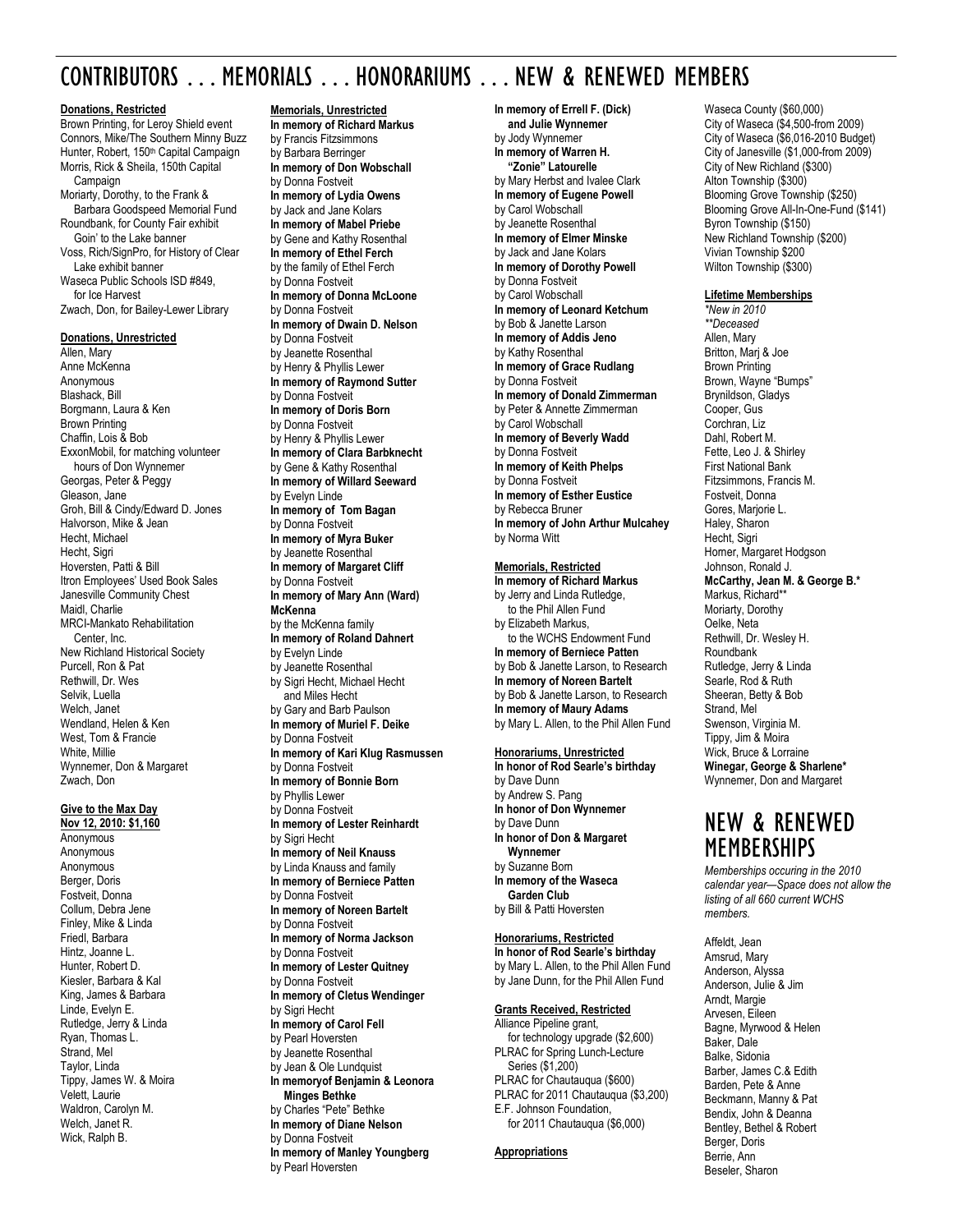## CONTRIBUTORS . . . MEMORIALS . . . HONORARIUMS . . . NEW & RENEWED MEMBERS

#### **Donations, Restricted**

Brown Printing, for Leroy Shield event Connors, Mike/The Southern Minny Buzz Hunter, Robert, 150<sup>th</sup> Capital Campaign Morris, Rick & Sheila, 150th Capital Campaign Moriarty, Dorothy, to the Frank & Barbara Goodspeed Memorial Fund Roundbank, for County Fair exhibit Goin' to the Lake banner Voss, Rich/SignPro, for History of Clear Lake exhibit banner Waseca Public Schools ISD #849, for Ice Harvest Zwach, Don, for Bailey-Lewer Library **Donations, Unrestricted**  Allen, Mary Anne McKenna Anonymous Blashack, Bill Borgmann, Laura & Ken

Brown Printing Chaffin, Lois & Bob ExxonMobil, for matching volunteer hours of Don Wynnemer Georgas, Peter & Peggy Gleason, Jane Groh, Bill & Cindy/Edward D. Jones Halvorson, Mike & Jean Hecht, Michael Hecht, Sigri Hoversten, Patti & Bill Itron Employees' Used Book Sales Janesville Community Chest Maidl, Charlie MRCI-Mankato Rehabilitation Center, Inc. New Richland Historical Society Purcell, Ron & Pat Rethwill, Dr. Wes Selvik, Luella Welch, Janet Wendland, Helen & Ken West, Tom & Francie White, Millie Wynnemer, Don & Margaret Zwach, Don

#### **Give to the Max Day**

**Nov 12, 2010: \$1,160**  Anonymous Anonymous Anonymous Berger, Doris Fostveit, Donna Collum, Debra Jene Finley, Mike & Linda Friedl, Barbara Hintz, Joanne L. Hunter, Robert D. Kiesler, Barbara & Kal King, James & Barbara Linde, Evelyn E. Rutledge, Jerry & Linda Ryan, Thomas L. Strand, Mel Taylor, Linda Tippy, James W. & Moira Velett, Laurie Waldron, Carolyn M. Welch, Janet R. Wick, Ralph B.

#### **Memorials, Unrestricted**

**In memory of Richard Markus**  by Francis Fitzsimmons by Barbara Berringer **In memory of Don Wobschall**  by Donna Fostveit **In memory of Lydia Owens**  by Jack and Jane Kolars **In memory of Mabel Priebe**  by Gene and Kathy Rosenthal **In memory of Ethel Ferch**  by the family of Ethel Ferch by Donna Fostveit **In memory of Donna McLoone**  by Donna Fostveit **In memory of Dwain D. Nelson**  by Donna Fostveit by Jeanette Rosenthal by Henry & Phyllis Lewer **In memory of Raymond Sutter**  by Donna Fostveit **In memory of Doris Born**  by Donna Fostveit by Henry & Phyllis Lewer **In memory of Clara Barbknecht**  by Gene & Kathy Rosenthal **In memory of Willard Seeward**  by Evelyn Linde **In memory of Tom Bagan**  by Donna Fostveit **In memory of Myra Buker**  by Jeanette Rosenthal **In memory of Margaret Cliff**  by Donna Fostveit **In memory of Mary Ann (Ward) McKenna**  by the McKenna family **In memory of Roland Dahnert**  by Evelyn Linde by Jeanette Rosenthal by Sigri Hecht, Michael Hecht and Miles Hecht by Gary and Barb Paulson **In memory of Muriel F. Deike**  by Donna Fostveit **In memory of Kari Klug Rasmussen**  by Donna Fostveit **In memory of Bonnie Born**  by Phyllis Lewer by Donna Fostveit **In memory of Lester Reinhardt**  by Sigri Hecht **In memory of Neil Knauss**  by Linda Knauss and family **In memory of Berniece Patten**  by Donna Fostveit **In memory of Noreen Bartelt**  by Donna Fostveit **In memory of Norma Jackson**  by Donna Fostveit **In memory of Lester Quitney**  by Donna Fostveit **In memory of Cletus Wendinger**  by Sigri Hecht **In memory of Carol Fell**  by Pearl Hoversten by Jeanette Rosenthal by Jean & Ole Lundquist **In memoryof Benjamin & Leonora Minges Bethke** by Charles "Pete" Bethke

**In memory of Diane Nelson**  by Donna Fostveit

by Pearl Hoversten

**In memory of Manley Youngberg** 

**In memory of Errell F. (Dick) and Julie Wynnemer**  by Jody Wynnemer **In memory of Warren H. "Zonie" Latourelle**  by Mary Herbst and Ivalee Clark **In memory of Eugene Powell**  by Carol Wobschall by Jeanette Rosenthal **In memory of Elmer Minske**  by Jack and Jane Kolars **In memory of Dorothy Powell**  by Donna Fostveit by Carol Wobschall **In memory of Leonard Ketchum**  by Bob & Janette Larson **In memory of Addis Jeno**  by Kathy Rosenthal **In memory of Grace Rudlang**  by Donna Fostveit **In memory of Donald Zimmerman**  by Peter & Annette Zimmerman by Carol Wobschall **In memory of Beverly Wadd**  by Donna Fostveit **In memory of Keith Phelps**  by Donna Fostveit **In memory of Esther Eustice**  by Rebecca Bruner **In memory of John Arthur Mulcahey** by Norma Witt

#### **Memorials, Restricted**

**In memory of Richard Markus**  by Jerry and Linda Rutledge, to the Phil Allen Fund by Elizabeth Markus, to the WCHS Endowment Fund **In memory of Berniece Patten**  by Bob & Janette Larson, to Research **In memory of Noreen Bartelt**  by Bob & Janette Larson, to Research **In memory of Maury Adams**  by Mary L. Allen, to the Phil Allen Fund

### **Honorariums, Unrestricted**

**In honor of Rod Searle's birthday**  by Dave Dunn by Andrew S. Pang **In honor of Don Wynnemer**  by Dave Dunn **In honor of Don & Margaret Wynnemer**  by Suzanne Born **In memory of the Waseca Garden Club**  by Bill & Patti Hoversten

#### **Honorariums, Restricted**

**In honor of Rod Searle's birthday**  by Mary L. Allen, to the Phil Allen Fund by Jane Dunn, for the Phil Allen Fund

#### **Grants Received, Restricted**

Alliance Pipeline grant, for technology upgrade (\$2,600) PLRAC for Spring Lunch-Lecture Series (\$1,200) PLRAC for Chautauqua (\$600) PLRAC for 2011 Chautauqua (\$3,200) E.F. Johnson Foundation, for 2011 Chautauqua (\$6,000)

#### **Appropriations**

Waseca County (\$60,000) City of Waseca (\$4,500-from 2009) City of Waseca (\$6,016-2010 Budget) City of Janesville (\$1,000-from 2009) City of New Richland (\$300) Alton Township (\$300) Blooming Grove Township (\$250) Blooming Grove All-In-One-Fund (\$141) Byron Township (\$150) New Richland Township (\$200) Vivian Township \$200 Wilton Township (\$300)

#### **Lifetime Memberships**

*\*New in 2010 \*\*Deceased* Allen, Mary Britton, Marj & Joe Brown Printing Brown, Wayne "Bumps" Brynildson, Gladys Cooper, Gus Corchran, Liz Dahl, Robert M. Fette, Leo J. & Shirley First National Bank Fitzsimmons, Francis M. Fostveit, Donna Gores, Mariorie L. Haley, Sharon Hecht, Sigri Horner, Margaret Hodgson Johnson, Ronald J. **McCarthy, Jean M. & George B.\***  Markus, Richard\*\* Moriarty, Dorothy Oelke, Neta Rethwill, Dr. Wesley H. Roundbank Rutledge, Jerry & Linda Searle, Rod & Ruth Sheeran, Betty & Bob Strand, Mel Swenson, Virginia M. Tippy, Jim & Moira Wick, Bruce & Lorraine **Winegar, George & Sharlene\***  Wynnemer, Don and Margaret

## NEW & RENEWED **MEMBERSHIPS**

*Memberships occuring in the 2010 calendar year—Space does not allow the listing of all 660 current WCHS members.* 

Affeldt, Jean Amsrud, Mary Anderson, Alyssa Anderson, Julie & Jim Arndt, Margie Arvesen, Eileen Bagne, Myrwood & Helen Baker, Dale Balke, Sidonia Barber, James C.& Edith Barden, Pete & Anne Beckmann, Manny & Pat Bendix, John & Deanna Bentley, Bethel & Robert Berger, Doris Berrie, Ann Beseler, Sharon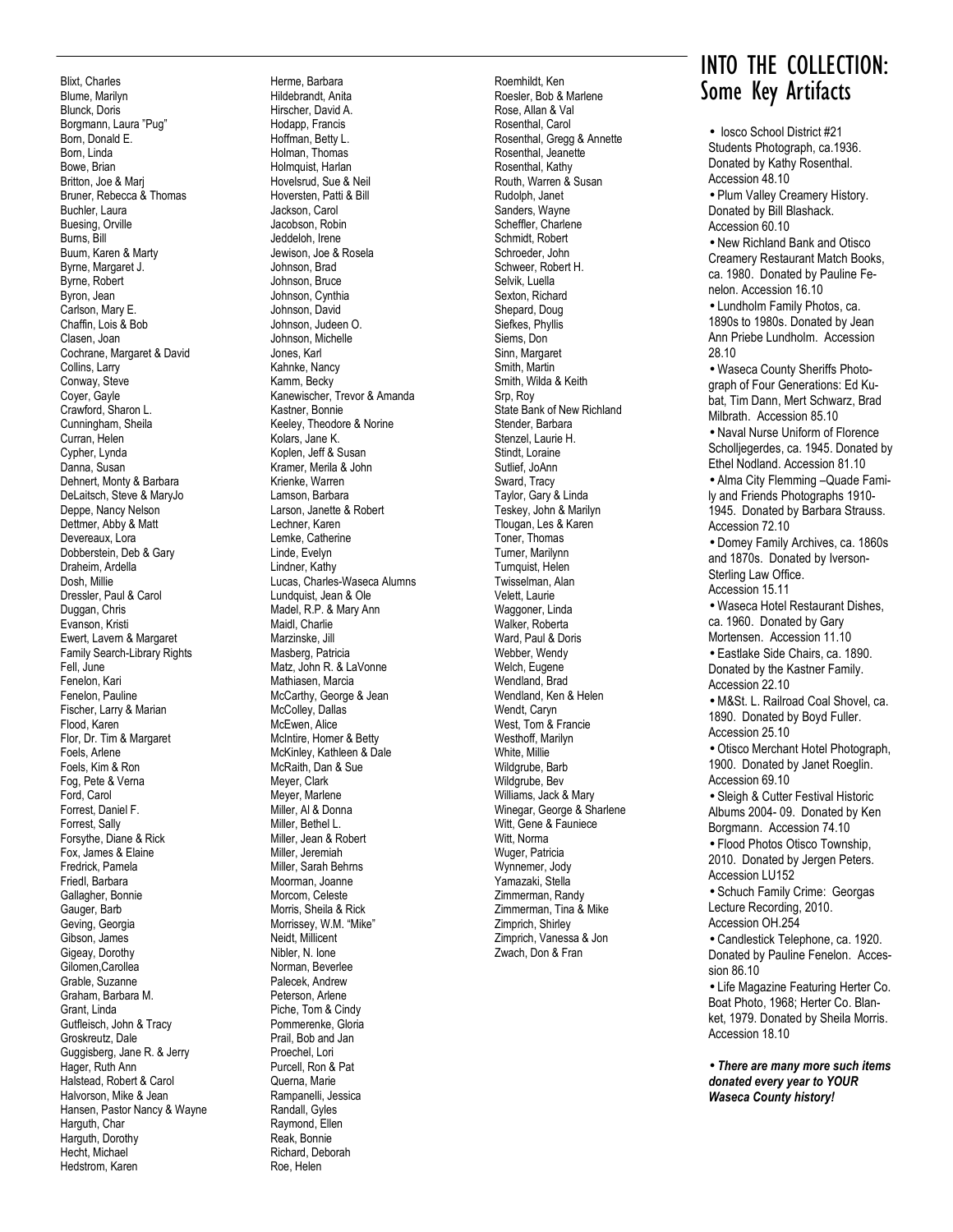Blixt, Charles Blume, Marilyn Blunck, Doris Borgmann, Laura "Pug" Born, Donald E. Born, Linda Bowe, Brian Britton, Joe & Marj Bruner, Rebecca & Thomas Buchler, Laura Buesing, Orville Burns, Bill Buum, Karen & Marty Byrne, Margaret J. Byrne, Robert Byron, Jean Carlson, Mary E. Chaffin, Lois & Bob Clasen, Joan Cochrane, Margaret & David Collins, Larry Conway, Steve Coyer, Gayle Crawford, Sharon L. Cunningham, Sheila Curran, Helen Cypher, Lynda Danna, Susan Dehnert, Monty & Barbara DeLaitsch, Steve & MaryJo Deppe, Nancy Nelson Dettmer, Abby & Matt Devereaux, Lora Dobberstein, Deb & Gary Draheim, Ardella Dosh, Millie Dressler, Paul & Carol Duggan, Chris Evanson, Kristi Ewert, Lavern & Margaret Family Search-Library Rights Fell, June Fenelon, Kari Fenelon, Pauline Fischer, Larry & Marian Flood, Karen Flor, Dr. Tim & Margaret Foels, Arlene Foels, Kim & Ron Fog, Pete & Verna Ford, Carol Forrest, Daniel F. Forrest, Sally Forsythe, Diane & Rick Fox, James & Elaine Fredrick, Pamela Friedl, Barbara Gallagher, Bonnie Gauger, Barb Geving, Georgia Gibson, James Gigeay, Dorothy Gilomen,Carollea Grable, Suzanne Graham, Barbara M. Grant, Linda Gutfleisch, John & Tracy Groskreutz, Dale Guggisberg, Jane R. & Jerry Hager, Ruth Ann Halstead, Robert & Carol Halvorson, Mike & Jean Hansen, Pastor Nancy & Wayne Harguth, Char Harguth, Dorothy Hecht, Michael Hedstrom, Karen

Herme, Barbara Hildebrandt, Anita Hirscher, David A. Hodapp, Francis Hoffman, Betty L. Holman, Thomas Holmquist, Harlan Hovelsrud, Sue & Neil Hoversten, Patti & Bill Jackson, Carol Jacobson, Robin Jeddeloh, Irene Jewison, Joe & Rosela Johnson, Brad Johnson, Bruce Johnson, Cynthia Johnson, David Johnson, Judeen O. Johnson, Michelle Jones, Karl Kahnke, Nancy Kamm, Becky Kanewischer, Trevor & Amanda Kastner, Bonnie Keeley, Theodore & Norine Kolars, Jane K. Koplen, Jeff & Susan Kramer, Merila & John Krienke, Warren Lamson, Barbara Larson, Janette & Robert Lechner, Karen Lemke, Catherine Linde, Evelyn Lindner, Kathy Lucas, Charles-Waseca Alumns Lundquist, Jean & Ole Madel, R.P. & Mary Ann Maidl, Charlie Marzinske, Jill Masberg, Patricia Matz, John R. & LaVonne Mathiasen, Marcia McCarthy, George & Jean McColley, Dallas McEwen, Alice McIntire, Homer & Betty McKinley, Kathleen & Dale McRaith, Dan & Sue Meyer, Clark Meyer, Marlene Miller, Al & Donna Miller, Bethel L. Miller, Jean & Robert Miller, Jeremiah Miller, Sarah Behrns Moorman, Joanne Morcom, Celeste Morris, Sheila & Rick Morrissey, W.M. "Mike" Neidt, Millicent Nibler, N. Ione Norman, Beverlee Palecek, Andrew Peterson, Arlene Piche, Tom & Cindy Pommerenke, Gloria Prail, Bob and Jan Proechel, Lori Purcell, Ron & Pat Querna, Marie Rampanelli, Jessica Randall, Gyles Raymond, Ellen Reak, Bonnie Richard, Deborah

Roe, Helen

Rose, Allan & Val Rosenthal, Carol Rosenthal, Gregg & Annette Rosenthal, Jeanette Rosenthal, Kathy Routh, Warren & Susan Rudolph, Janet Sanders, Wayne Scheffler, Charlene Schmidt, Robert Schroeder, John Schweer, Robert H. Selvik, Luella Sexton, Richard Shepard, Doug Siefkes, Phyllis Siems, Don Sinn, Margaret Smith, Martin Smith, Wilda & Keith Srp, Roy State Bank of New Richland Stender, Barbara Stenzel, Laurie H. Stindt, Loraine Sutlief, JoAnn Sward, Tracy Taylor, Gary & Linda Teskey, John & Marilyn Tlougan, Les & Karen Toner, Thomas Turner, Marilynn Turnquist, Helen Twisselman, Alan Velett, Laurie Waggoner, Linda Walker, Roberta Ward, Paul & Doris Webber, Wendy Welch, Eugene Wendland, Brad Wendland, Ken & Helen Wendt, Caryn West, Tom & Francie Westhoff, Marilyn White, Millie Wildgrube, Barb Wildgrube, Bev Williams, Jack & Mary Winegar, George & Sharlene Witt, Gene & Fauniece Witt, Norma Wuger, Patricia Wynnemer, Jody Yamazaki, Stella Zimmerman, Randy Zimmerman, Tina & Mike Zimprich, Shirley Zimprich, Vanessa & Jon

Zwach, Don & Fran

## INTO THE COLLECTION: Roemhildt, Ken Roesler, Bob & Marlene **Roemhildt, Ken Roesler, Bob & Marlene**

• Iosco School District #21 Students Photograph, ca.1936. Donated by Kathy Rosenthal. Accession 48.10

• Plum Valley Creamery History. Donated by Bill Blashack. Accession 60.10

• New Richland Bank and Otisco Creamery Restaurant Match Books, ca. 1980. Donated by Pauline Fenelon. Accession 16.10

• Lundholm Family Photos, ca. 1890s to 1980s. Donated by Jean Ann Priebe Lundholm. Accession 28.10

• Waseca County Sheriffs Photograph of Four Generations: Ed Kubat, Tim Dann, Mert Schwarz, Brad Milbrath. Accession 85.10 • Naval Nurse Uniform of Florence

Scholliegerdes, ca. 1945. Donated by Ethel Nodland. Accession 81.10

• Alma City Flemming –Quade Family and Friends Photographs 1910- 1945. Donated by Barbara Strauss. Accession 72.10

• Domey Family Archives, ca. 1860s and 1870s. Donated by Iverson-Sterling Law Office. Accession 15.11

• Waseca Hotel Restaurant Dishes, ca. 1960. Donated by Gary Mortensen. Accession 11.10 • Eastlake Side Chairs, ca. 1890.

Donated by the Kastner Family. Accession 22.10

• M&St. L. Railroad Coal Shovel, ca. 1890. Donated by Boyd Fuller. Accession 25.10

• Otisco Merchant Hotel Photograph, 1900. Donated by Janet Roeglin. Accession 69.10

• Sleigh & Cutter Festival Historic Albums 2004- 09. Donated by Ken Borgmann. Accession 74.10 • Flood Photos Otisco Township, 2010. Donated by Jergen Peters. Accession LU152

• Schuch Family Crime: Georgas Lecture Recording, 2010. Accession OH.254

• Candlestick Telephone, ca. 1920. Donated by Pauline Fenelon. Accession 86.10

• Life Magazine Featuring Herter Co. Boat Photo, 1968; Herter Co. Blanket, 1979. Donated by Sheila Morris. Accession 18.10

• *There are many more such items donated every year to YOUR Waseca County history!*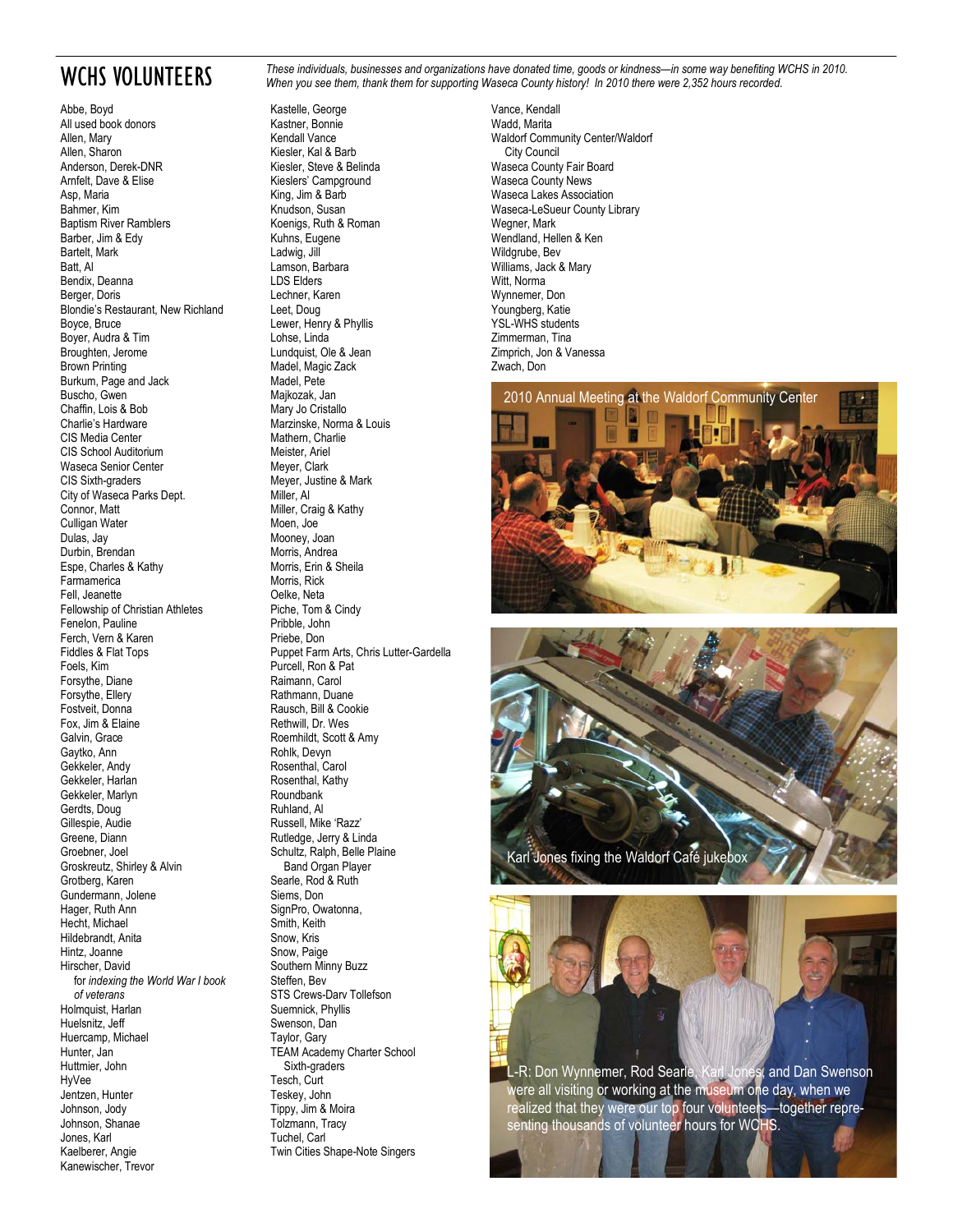## WCHS VOLUNTEERS

Abbe, Boyd All used book donors Allen, Mary Allen, Sharon Anderson, Derek-DNR Arnfelt, Dave & Elise Asp, Maria Bahmer, Kim Baptism River Ramblers Barber, Jim & Edy Bartelt, Mark Batt, Al Bendix, Deanna Berger, Doris Blondie's Restaurant, New Richland Boyce, Bruce Boyer, Audra & Tim Broughten, Jerome Brown Printing Burkum, Page and Jack Buscho, Gwen Chaffin, Lois & Bob Charlie's Hardware CIS Media Center CIS School Auditorium Waseca Senior Center CIS Sixth-graders City of Waseca Parks Dept. Connor, Matt Culligan Water Dulas, Jay Durbin, Brendan Espe, Charles & Kathy Farmamerica Fell, Jeanette Fellowship of Christian Athletes Fenelon, Pauline Ferch, Vern & Karen Fiddles & Flat Tops Foels, Kim Forsythe, Diane Forsythe, Ellery Fostveit, Donna Fox, Jim & Elaine Galvin, Grace Gaytko, Ann Gekkeler, Andy Gekkeler, Harlan Gekkeler, Marlyn Gerdts, Doug Gillespie, Audie Greene, Diann Groebner, Joel Groskreutz, Shirley & Alvin Grotberg, Karen Gundermann, Jolene Hager, Ruth Ann Hecht, Michael Hildebrandt, Anita Hintz, Joanne Hirscher, David for *indexing the World War I book of veterans* Holmquist, Harlan Huelsnitz, Jeff Huercamp, Michael Hunter, Jan Huttmier, John HyVee Jentzen, Hunter Johnson, Jody Johnson, Shanae Jones, Karl Kaelberer, Angie Kanewischer, Trevor

*These individuals, businesses and organizations have donated time, goods or kindness—in some way benefiting WCHS in 2010. When you see them, thank them for supporting Waseca County history! In 2010 there were 2,352 hours recorded.* 

Kastelle, George Kastner, Bonnie Kendall Vance Kiesler, Kal & Barb Kiesler, Steve & Belinda Kieslers' Campground King, Jim & Barb Knudson, Susan Koenigs, Ruth & Roman Kuhns, Eugene Ladwig, Jill Lamson, Barbara LDS Elders Lechner, Karen Leet, Doug Lewer, Henry & Phyllis Lohse, Linda Lundquist, Ole & Jean Madel, Magic Zack Madel, Pete Majkozak, Jan Mary Jo Cristallo Marzinske, Norma & Louis Mathern, Charlie Meister, Ariel Meyer, Clark Meyer, Justine & Mark Miller, Al Miller, Craig & Kathy Moen, Joe Mooney, Joan Morris, Andrea Morris, Erin & Sheila Morris, Rick Oelke, Neta Piche, Tom & Cindy Pribble, John Priebe, Don Puppet Farm Arts, Chris Lutter-Gardella Purcell, Ron & Pat Raimann, Carol Rathmann, Duane Rausch, Bill & Cookie Rethwill, Dr. Wes Roemhildt, Scott & Amy Rohlk, Devyn Rosenthal, Carol Rosenthal, Kathy Roundbank Ruhland, Al Russell, Mike 'Razz' Rutledge, Jerry & Linda Schultz, Ralph, Belle Plaine Band Organ Player Searle, Rod & Ruth Siems, Don SignPro, Owatonna, Smith, Keith Snow, Kris Snow, Paige Southern Minny Buzz Steffen, Bev STS Crews-Darv Tollefson Suemnick, Phyllis Swenson, Dan Taylor, Gary TEAM Academy Charter School Sixth-graders Tesch, Curt Teskey, John Tippy, Jim & Moira Tolzmann, Tracy Tuchel, Carl Twin Cities Shape-Note Singers

Vance, Kendall Wadd, Marita Waldorf Community Center/Waldorf City Council Waseca County Fair Board Waseca County News Waseca Lakes Association Waseca-LeSueur County Library Wegner, Mark Wendland, Hellen & Ken Wildgrube, Bev Williams, Jack & Mary Witt, Norma Wynnemer, Don Youngberg, Katie YSL-WHS students Zimmerman, Tina Zimprich, Jon & Vanessa Zwach, Don





L-R: Don Wynnemer, Rod Searle, Karl Jones, and Dan Swenson were all visiting or working at the museum one day, when we realized that they were our top four volunteers—together representing thousands of volunteer hours for WCHS.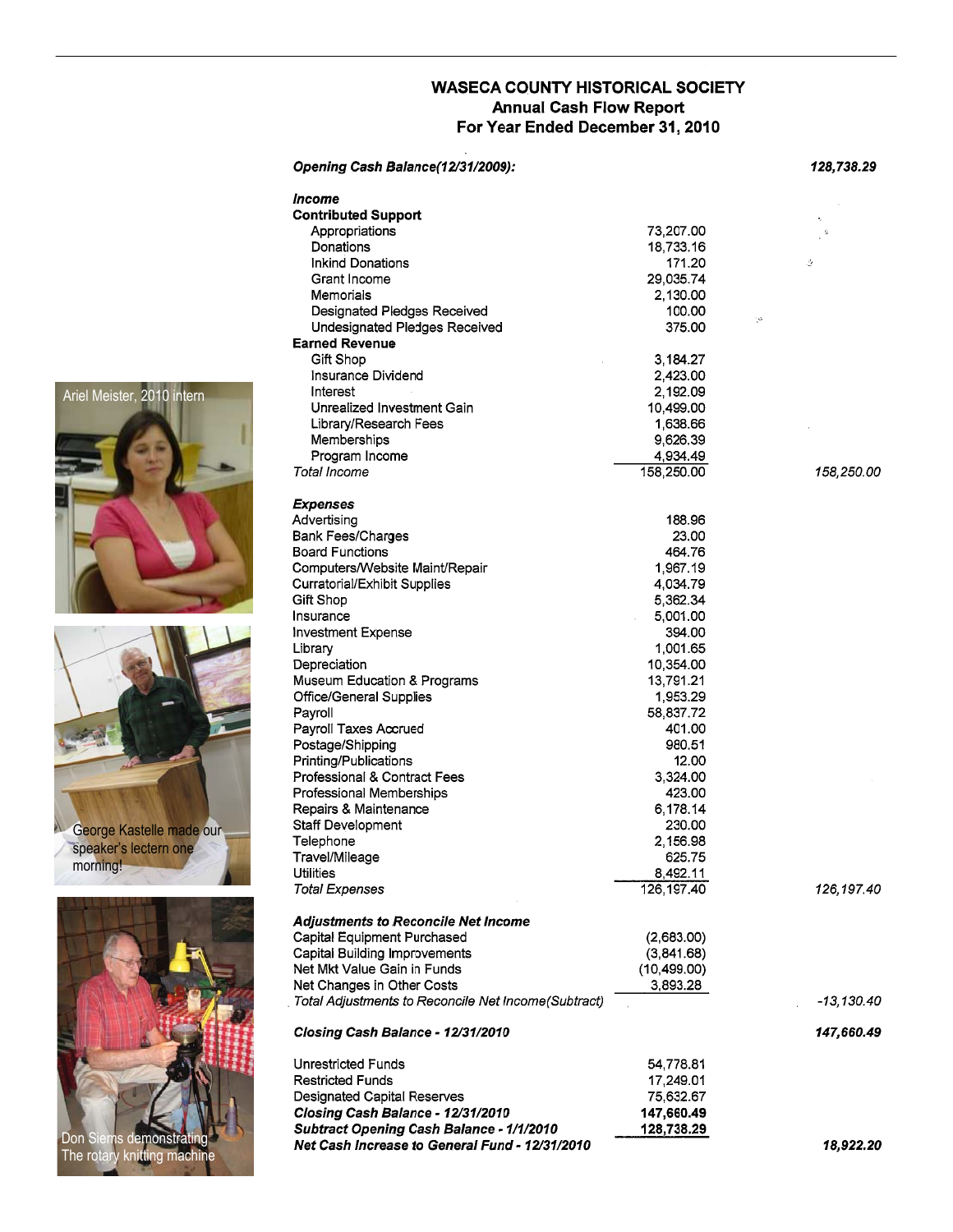### **WASECA COUNTY HISTORICAL SOCIETY Annual Cash Flow Report** For Year Ended December 31, 2010

|                            | Opening Cash Balance(12/31/2009):                   |              | 128,738.29         |
|----------------------------|-----------------------------------------------------|--------------|--------------------|
|                            | Income                                              |              |                    |
|                            | <b>Contributed Support</b>                          |              |                    |
|                            | Appropriations                                      | 73,207.00    | $\hat{\mathbf{a}}$ |
|                            | Donations                                           | 18,733.16    |                    |
|                            | <b>Inkind Donations</b>                             | 171.20       | ₹                  |
|                            | Grant Income                                        | 29,035.74    |                    |
|                            | Memorials                                           | 2,130.00     |                    |
|                            | Designated Pledges Received                         | 100.00       |                    |
|                            | Undesignated Pledges Received                       | 375.00       | Şà.                |
|                            | <b>Earned Revenue</b>                               |              |                    |
|                            | Gift Shop                                           | 3,184.27     |                    |
|                            | Insurance Dividend                                  | 2,423.00     |                    |
|                            | Interest                                            | 2,192.09     |                    |
| Ariel Meister, 2010 intern | Unrealized Investment Gain                          |              |                    |
|                            |                                                     | 10,499.00    |                    |
|                            | Library/Research Fees                               | 1,638.66     |                    |
|                            | Memberships                                         | 9,626.39     |                    |
|                            | Program Income                                      | 4,934.49     |                    |
|                            | Total Income                                        | 158,250.00   | 158,250.00         |
|                            |                                                     |              |                    |
|                            | <b>Expenses</b>                                     |              |                    |
|                            | Advertising                                         | 188.96       |                    |
|                            | <b>Bank Fees/Charges</b>                            | 23.00        |                    |
|                            | <b>Board Functions</b>                              | 464.76       |                    |
|                            | Computers/Website Maint/Repair                      | 1,967.19     |                    |
|                            | Curratorial/Exhibit Supplies                        | 4,034.79     |                    |
|                            | Gift Shop                                           | 5,362.34     |                    |
|                            | Insurance                                           | 5,001.00     |                    |
|                            | <b>Investment Expense</b>                           | 394.00       |                    |
|                            | Library                                             | 1,001.65     |                    |
|                            | Depreciation                                        | 10,354.00    |                    |
|                            | Museum Education & Programs                         | 13,791.21    |                    |
|                            |                                                     |              |                    |
|                            | <b>Office/General Supplies</b>                      | 1,953.29     |                    |
|                            | Payroll                                             | 58,837.72    |                    |
|                            | Payroll Taxes Accrued                               | 401.00       |                    |
|                            | Postage/Shipping                                    | 980.51       |                    |
|                            | Printing/Publications                               | 12.00        |                    |
|                            | Professional & Contract Fees                        | 3,324.00     |                    |
|                            | Professional Memberships                            | 423.00       |                    |
|                            | Repairs & Maintenance                               | 6,178.14     |                    |
| George Kastelle made our   | Staff Development                                   | 230.00       |                    |
| speaker's lectern one      | Telephone                                           | 2,156.98     |                    |
|                            | Travel/Mileage                                      | 625.75       |                    |
| morning!                   | <b>Utilities</b>                                    | 8,492.11     |                    |
|                            | <b>Total Expenses</b>                               | 126, 197.40  | 126,197.40         |
|                            | <b>Adjustments to Reconcile Net Income</b>          |              |                    |
|                            | Capital Equipment Purchased                         | (2,683.00)   |                    |
|                            | Capital Building Improvements                       | (3,841.68)   |                    |
|                            | Net Mkt Value Gain in Funds                         | (10, 499.00) |                    |
|                            | Net Changes in Other Costs                          | 3,893.28     |                    |
|                            | Total Adjustments to Reconcile Net Income(Subtract) |              | $-13,130.40$       |
|                            |                                                     |              |                    |
|                            | Closing Cash Balance - 12/31/2010                   |              | 147,660.49         |
|                            | Unrestricted Funds                                  | 54,778.81    |                    |
|                            | <b>Restricted Funds</b>                             | 17,249.01    |                    |
|                            |                                                     |              |                    |
|                            | Designated Capital Reserves                         | 75,632.67    |                    |
|                            | Closing Cash Balance - 12/31/2010                   | 147,660.49   |                    |
| Don Siems demonstrating    | <b>Subtract Opening Cash Balance - 1/1/2010</b>     | 128,738.29   |                    |
|                            | Net Cash Increase to General Fund - 12/31/2010      |              | 18,922.20          |

Ariel

The rotary knitting machine